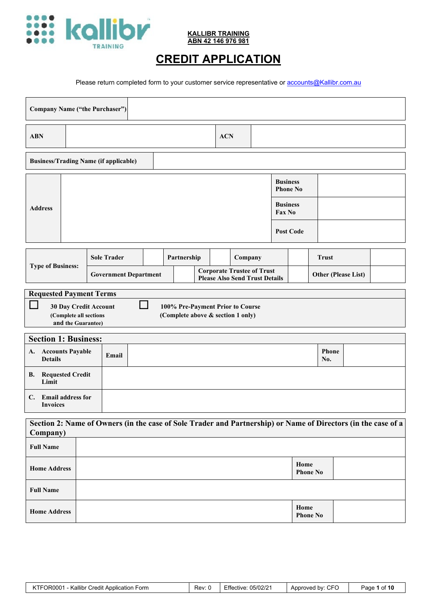

**KALLIBR TRAINING ABN 42 146 976 981**

# **CREDIT APPLICATION**

Please return completed form to your customer service representative or **accounts@Kallibr.com.au** 

| <b>Company Name ("the Purchaser")</b>                                                                                                                     |                                                                                                            |  |             |  |            |  |                           |                         |                            |  |  |
|-----------------------------------------------------------------------------------------------------------------------------------------------------------|------------------------------------------------------------------------------------------------------------|--|-------------|--|------------|--|---------------------------|-------------------------|----------------------------|--|--|
| <b>ABN</b>                                                                                                                                                |                                                                                                            |  |             |  | <b>ACN</b> |  |                           |                         |                            |  |  |
| <b>Business/Trading Name (if applicable)</b>                                                                                                              |                                                                                                            |  |             |  |            |  |                           |                         |                            |  |  |
|                                                                                                                                                           |                                                                                                            |  |             |  |            |  | <b>Business</b>           | <b>Phone No</b>         |                            |  |  |
| <b>Address</b>                                                                                                                                            |                                                                                                            |  |             |  |            |  | <b>Business</b><br>Fax No |                         |                            |  |  |
|                                                                                                                                                           |                                                                                                            |  |             |  |            |  |                           | <b>Post Code</b>        |                            |  |  |
|                                                                                                                                                           | <b>Sole Trader</b>                                                                                         |  | Partnership |  | Company    |  |                           |                         | <b>Trust</b>               |  |  |
| <b>Type of Business:</b>                                                                                                                                  | <b>Corporate Trustee of Trust</b><br><b>Government Department</b><br><b>Please Also Send Trust Details</b> |  |             |  |            |  |                           |                         | <b>Other (Please List)</b> |  |  |
| <b>Requested Payment Terms</b>                                                                                                                            |                                                                                                            |  |             |  |            |  |                           |                         |                            |  |  |
| $\perp$<br>30 Day Credit Account<br>100% Pre-Payment Prior to Course<br>(Complete all sections<br>(Complete above & section 1 only)<br>and the Guarantee) |                                                                                                            |  |             |  |            |  |                           |                         |                            |  |  |
| <b>Section 1: Business:</b>                                                                                                                               |                                                                                                            |  |             |  |            |  |                           |                         |                            |  |  |
| A. Accounts Payable<br><b>Details</b>                                                                                                                     | Email                                                                                                      |  |             |  |            |  |                           |                         | Phone<br>No.               |  |  |
| <b>B.</b> Requested Credit<br>Limit                                                                                                                       |                                                                                                            |  |             |  |            |  |                           |                         |                            |  |  |
| <b>Email address for</b><br>C.<br><b>Invoices</b>                                                                                                         |                                                                                                            |  |             |  |            |  |                           |                         |                            |  |  |
| Section 2: Name of Owners (in the case of Sole Trader and Partnership) or Name of Directors (in the case of a<br>Company)                                 |                                                                                                            |  |             |  |            |  |                           |                         |                            |  |  |
| <b>Full Name</b>                                                                                                                                          |                                                                                                            |  |             |  |            |  |                           |                         |                            |  |  |
| <b>Home Address</b>                                                                                                                                       |                                                                                                            |  |             |  |            |  |                           | Home<br><b>Phone No</b> |                            |  |  |
| <b>Full Name</b>                                                                                                                                          |                                                                                                            |  |             |  |            |  |                           |                         |                            |  |  |
| <b>Home Address</b>                                                                                                                                       |                                                                                                            |  |             |  |            |  |                           | Home<br><b>Phone No</b> |                            |  |  |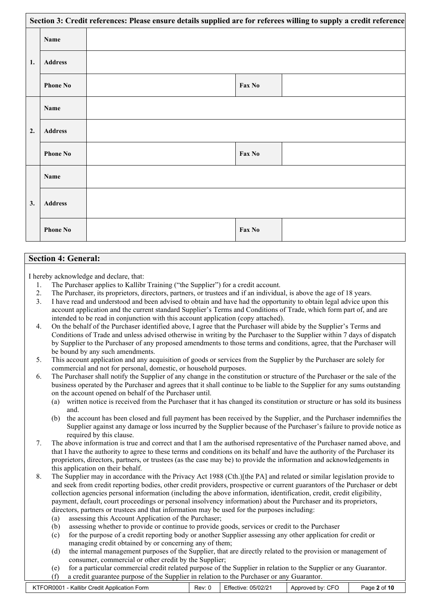|    |                 | Section 3: Credit references: Please ensure details supplied are for referees willing to supply a credit reference |               |  |
|----|-----------------|--------------------------------------------------------------------------------------------------------------------|---------------|--|
|    | Name            |                                                                                                                    |               |  |
| 1. | <b>Address</b>  |                                                                                                                    |               |  |
|    | <b>Phone No</b> |                                                                                                                    | Fax No        |  |
|    | Name            |                                                                                                                    |               |  |
| 2. | <b>Address</b>  |                                                                                                                    |               |  |
|    | <b>Phone No</b> |                                                                                                                    | Fax No        |  |
|    | Name            |                                                                                                                    |               |  |
| 3. | <b>Address</b>  |                                                                                                                    |               |  |
|    | <b>Phone No</b> |                                                                                                                    | <b>Fax No</b> |  |

### **Section 4: General:**

I hereby acknowledge and declare, that:

- 1. The Purchaser applies to Kallibr Training ("the Supplier") for a credit account.
- 2. The Purchaser, its proprietors, directors, partners, or trustees and if an individual, is above the age of 18 years.
- 3. I have read and understood and been advised to obtain and have had the opportunity to obtain legal advice upon this account application and the current standard Supplier's Terms and Conditions of Trade, which form part of, and are intended to be read in conjunction with this account application (copy attached).
- 4. On the behalf of the Purchaser identified above, I agree that the Purchaser will abide by the Supplier's Terms and Conditions of Trade and unless advised otherwise in writing by the Purchaser to the Supplier within 7 days of dispatch by Supplier to the Purchaser of any proposed amendments to those terms and conditions, agree, that the Purchaser will be bound by any such amendments.
- 5. This account application and any acquisition of goods or services from the Supplier by the Purchaser are solely for commercial and not for personal, domestic, or household purposes.
- 6. The Purchaser shall notify the Supplier of any change in the constitution or structure of the Purchaser or the sale of the business operated by the Purchaser and agrees that it shall continue to be liable to the Supplier for any sums outstanding on the account opened on behalf of the Purchaser until.
	- (a) written notice is received from the Purchaser that it has changed its constitution or structure or has sold its business and.
	- (b) the account has been closed and full payment has been received by the Supplier, and the Purchaser indemnifies the Supplier against any damage or loss incurred by the Supplier because of the Purchaser's failure to provide notice as required by this clause.
- 7. The above information is true and correct and that I am the authorised representative of the Purchaser named above, and that I have the authority to agree to these terms and conditions on its behalf and have the authority of the Purchaser its proprietors, directors, partners, or trustees (as the case may be) to provide the information and acknowledgements in this application on their behalf.
- 8. The Supplier may in accordance with the Privacy Act 1988 (Cth.)[the PA] and related or similar legislation provide to and seek from credit reporting bodies, other credit providers, prospective or current guarantors of the Purchaser or debt collection agencies personal information (including the above information, identification, credit, credit eligibility, payment, default, court proceedings or personal insolvency information) about the Purchaser and its proprietors,
	- directors, partners or trustees and that information may be used for the purposes including:
	- (a) assessing this Account Application of the Purchaser;
	- (b) assessing whether to provide or continue to provide goods, services or credit to the Purchaser
	- (c) for the purpose of a credit reporting body or another Supplier assessing any other application for credit or managing credit obtained by or concerning any of them;
	- (d) the internal management purposes of the Supplier, that are directly related to the provision or management of consumer, commercial or other credit by the Supplier;
	- (e) for a particular commercial credit related purpose of the Supplier in relation to the Supplier or any Guarantor. (f) a credit guarantee purpose of the Supplier in relation to the Purchaser or any Guarantor.

| <b>TFOR0001</b><br>- Kallibr<br><b>Credit Application</b><br>Form | Rev: | 05/02/21<br>Fffective: | Approved by:<br>$\overline{\phantom{a}}$ | : of <b>10</b><br>Page |
|-------------------------------------------------------------------|------|------------------------|------------------------------------------|------------------------|
|-------------------------------------------------------------------|------|------------------------|------------------------------------------|------------------------|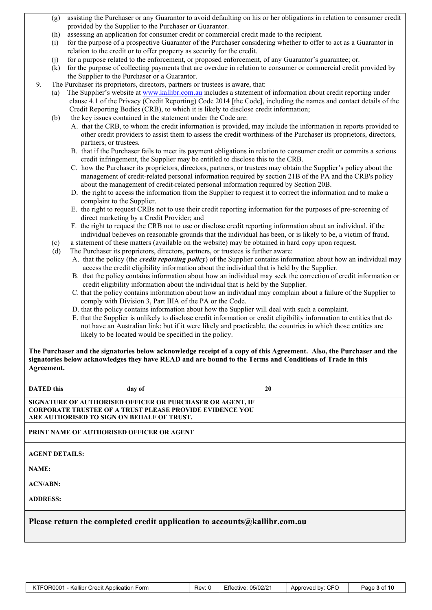- (g) assisting the Purchaser or any Guarantor to avoid defaulting on his or her obligations in relation to consumer credit provided by the Supplier to the Purchaser or Guarantor.
- (h) assessing an application for consumer credit or commercial credit made to the recipient.
- (i) for the purpose of a prospective Guarantor of the Purchaser considering whether to offer to act as a Guarantor in relation to the credit or to offer property as security for the credit.
- (j) for a purpose related to the enforcement, or proposed enforcement, of any Guarantor's guarantee; or.
- (k) for the purpose of collecting payments that are overdue in relation to consumer or commercial credit provided by the Supplier to the Purchaser or a Guarantor.
- 9. The Purchaser its proprietors, directors, partners or trustees is aware, that:
	- (a) The Supplier's website a[t www.kallibr.com.au](http://www.rissafety.com/) includes a statement of information about credit reporting under clause 4.1 of the Privacy (Credit Reporting) Code 2014 [the Code], including the names and contact details of the Credit Reporting Bodies (CRB), to which it is likely to disclose credit information;
	- (b) the key issues contained in the statement under the Code are:
		- A. that the CRB, to whom the credit information is provided, may include the information in reports provided to other credit providers to assist them to assess the credit worthiness of the Purchaser its proprietors, directors, partners, or trustees.
		- B. that if the Purchaser fails to meet its payment obligations in relation to consumer credit or commits a serious credit infringement, the Supplier may be entitled to disclose this to the CRB.
		- C. how the Purchaser its proprietors, directors, partners, or trustees may obtain the Supplier's policy about the management of credit-related personal information required by section 21B of the PA and the CRB's policy about the management of credit-related personal information required by Section 20B.
		- D. the right to access the information from the Supplier to request it to correct the information and to make a complaint to the Supplier.
		- E. the right to request CRBs not to use their credit reporting information for the purposes of pre-screening of direct marketing by a Credit Provider; and
		- F. the right to request the CRB not to use or disclose credit reporting information about an individual, if the individual believes on reasonable grounds that the individual has been, or is likely to be, a victim of fraud.
	- (c) a statement of these matters (available on the website) may be obtained in hard copy upon request.
	- (d) The Purchaser its proprietors, directors, partners, or trustees is further aware:
		- A. that the policy (the *credit reporting policy*) of the Supplier contains information about how an individual may access the credit eligibility information about the individual that is held by the Supplier.
		- B. that the policy contains information about how an individual may seek the correction of credit information or credit eligibility information about the individual that is held by the Supplier.
		- C. that the policy contains information about how an individual may complain about a failure of the Supplier to comply with Division 3, Part IIIA of the PA or the Code.
		- D. that the policy contains information about how the Supplier will deal with such a complaint.
		- E. that the Supplier is unlikely to disclose credit information or credit eligibility information to entities that do not have an Australian link; but if it were likely and practicable, the countries in which those entities are likely to be located would be specified in the policy.

**The Purchaser and the signatories below acknowledge receipt of a copy of this Agreement. Also, the Purchaser and the signatories below acknowledges they have READ and are bound to the Terms and Conditions of Trade in this Agreement.**

**DATED this day of 20** 

### **SIGNATURE OF AUTHORISED OFFICER OR PURCHASER OR AGENT, IF CORPORATE TRUSTEE OF A TRUST PLEASE PROVIDE EVIDENCE YOU ARE AUTHORISED TO SIGN ON BEHALF OF TRUST.**

**PRINT NAME OF AUTHORISED OFFICER OR AGENT**

**AGENT DETAILS:**

**NAME:**

**ACN/ABN:**

**ADDRESS:**

**Please return the completed credit application to accounts@kallibr.com.au**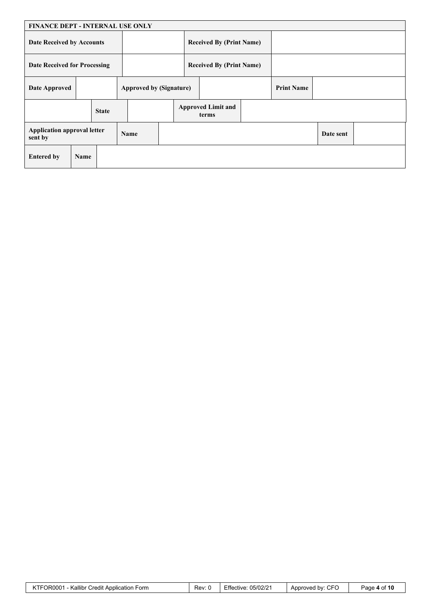| FINANCE DEPT - INTERNAL USE ONLY       |      |              |                                 |  |  |                                    |                   |           |  |
|----------------------------------------|------|--------------|---------------------------------|--|--|------------------------------------|-------------------|-----------|--|
| <b>Date Received by Accounts</b>       |      |              |                                 |  |  | <b>Received By (Print Name)</b>    |                   |           |  |
| <b>Date Received for Processing</b>    |      |              | <b>Received By (Print Name)</b> |  |  |                                    |                   |           |  |
| <b>Date Approved</b>                   |      |              | <b>Approved by (Signature)</b>  |  |  |                                    | <b>Print Name</b> |           |  |
|                                        |      | <b>State</b> |                                 |  |  | <b>Approved Limit and</b><br>terms |                   |           |  |
| Application approval letter<br>sent by |      |              | Name                            |  |  |                                    |                   | Date sent |  |
| <b>Entered by</b>                      | Name |              |                                 |  |  |                                    |                   |           |  |

| - Kallibr Credit Application F<br>05/02/21<br>KTFOR0001<br>Fffective:<br>Rev:<br>Form<br>Approved by:<br><b>ממכ</b><br>CF€<br>. 40 L<br>auc, |  |
|----------------------------------------------------------------------------------------------------------------------------------------------|--|
|----------------------------------------------------------------------------------------------------------------------------------------------|--|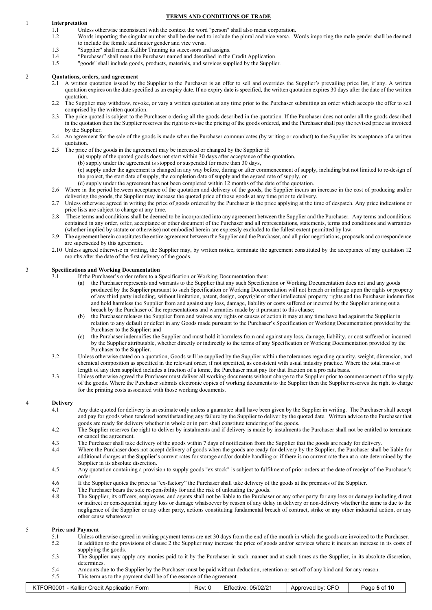### **TERMS AND CONDITIONS OF TRADE**

### 1 **Interpretation**

- 1.1 Unless otherwise inconsistent with the context the word "person" shall also mean corporation.<br>1.2 Words importing the singular number shall be deemed to include the plural and vice versa.
- 1.2 Words importing the singular number shall be deemed to include the plural and vice versa. Words importing the male gender shall be deemed to include the female and neuter gender and vice versa.
- 1.3 "Supplier" shall mean Kallibr Training its successors and assigns.<br>1.4 "Purchaser" shall mean the Purchaser named and described in the
- 1.4 "Purchaser" shall mean the Purchaser named and described in the Credit Application.<br>1.5 "goods" shall include goods, products, materials, and services supplied by the Supplie
- "goods" shall include goods, products, materials, and services supplied by the Supplier.

### 2 **Quotations, orders, and agreement**

- 2.1 A written quotation issued by the Supplier to the Purchaser is an offer to sell and overrides the Supplier's prevailing price list, if any. A written quotation expires on the date specified as an expiry date. If no expiry date is specified, the written quotation expires 30 days after the date of the written quotation.
- 2.2 The Supplier may withdraw, revoke, or vary a written quotation at any time prior to the Purchaser submitting an order which accepts the offer to sell comprised by the written quotation.
- 2.3 The price quoted is subject to the Purchaser ordering all the goods described in the quotation. If the Purchaser does not order all the goods described in the quotation then the Supplier reserves the right to revise the pricing of the goods ordered, and the Purchaser shall pay the revised price as invoiced by the Supplier.
- 2.4 An agreement for the sale of the goods is made when the Purchaser communicates (by writing or conduct) to the Supplier its acceptance of a written quotation.
- 2.5 The price of the goods in the agreement may be increased or changed by the Supplier if:
	- (a) supply of the quoted goods does not start within 30 days after acceptance of the quotation,
	- (b) supply under the agreement is stopped or suspended for more than 30 days,
	- (c) supply under the agreement is changed in any way before, during or after commencement of supply, including but not limited to re-design of the project, the start date of supply, the completion date of supply and the agreed rate of supply, or
	- (d) supply under the agreement has not been completed within 12 months of the date of the quotation.
- 2.6 Where in the period between acceptance of the quotation and delivery of the goods, the Supplier incurs an increase in the cost of producing and/or delivering the goods, the Supplier may increase the quoted price of those goods at any time prior to delivery.
- 2.7 Unless otherwise agreed in writing the price of goods ordered by the Purchaser is the price applying at the time of despatch. Any price indications or price lists are subject to change at any time.
- 2.8 These terms and conditions shall be deemed to be incorporated into any agreement between the Supplier and the Purchaser. Any terms and conditions contained in any order, offer, acceptance or other document of the Purchaser and all representations, statements, terms and conditions and warranties (whether implied by statute or otherwise) not embodied herein are expressly excluded to the fullest extent permitted by law.
- 2.9 The agreement herein constitutes the entire agreement between the Supplier and the Purchaser, and all prior negotiations, proposals and correspondence are superseded by this agreement.
- 2.10 Unless agreed otherwise in writing, the Supplier may, by written notice, terminate the agreement constituted by the acceptance of any quotation 12 months after the date of the first delivery of the goods.

### **Specifications and Working Documentation**<br>3.1 If the Purchaser's order refers to a S

- If the Purchaser's order refers to a Specification or Working Documentation then:
	- (a) the Purchaser represents and warrants to the Supplier that any such Specification or Working Documentation does not and any goods produced by the Supplier pursuant to such Specification or Working Documentation will not breach or infringe upon the rights or property of any third party including, without limitation, patent, design, copyright or other intellectual property rights and the Purchaser indemnifies and hold harmless the Supplier from and against any loss, damage, liability or costs suffered or incurred by the Supplier arising out a breach by the Purchaser of the representations and warranties made by it pursuant to this clause;
	- (b) the Purchaser releases the Supplier from and waives any rights or causes of action it may at any time have had against the Supplier in relation to any default or defect in any Goods made pursuant to the Purchaser's Specification or Working Documentation provided by the Purchaser to the Supplier; and
	- (c) the Purchaser indemnifies the Supplier and must hold it harmless from and against any loss, damage, liability, or cost suffered or incurred by the Supplier attributable, whether directly or indirectly to the terms of any Specification or Working Documentation provided by the Purchaser to the Supplier.
- 3.2 Unless otherwise stated on a quotation, Goods will be supplied by the Supplier within the tolerances regarding quantity, weight, dimension, and chemical composition as specified in the relevant order, if not specified, as consistent with usual industry practice. Where the total mass or length of any item supplied includes a fraction of a tonne, the Purchaser must pay for that fraction on a pro rata basis.
- 3.3 Unless otherwise agreed the Purchaser must deliver all working documents without charge to the Supplier prior to commencement of the supply. of the goods. Where the Purchaser submits electronic copies of working documents to the Supplier then the Supplier reserves the right to charge for the printing costs associated with those working documents.

### 4 **Delivery**

- 4.1 Any date quoted for delivery is an estimate only unless a guarantee shall have been given by the Supplier in writing. The Purchaser shall accept and pay for goods when tendered notwithstanding any failure by the Supplier to deliver by the quoted date. Written advice to the Purchaser that goods are ready for delivery whether in whole or in part shall constitute tendering of the goods.
- 4.2 The Supplier reserves the right to deliver by instalments and if delivery is made by instalments the Purchaser shall not be entitled to terminate or cancel the agreement.
- 4.3 The Purchaser shall take delivery of the goods within 7 days of notification from the Supplier that the goods are ready for delivery.
- 4.4 Where the Purchaser does not accept delivery of goods when the goods are ready for delivery by the Supplier, the Purchaser shall be liable for additional charges at the Supplier's current rates for storage and/or double handling or if there is no current rate then at a rate determined by the Supplier in its absolute discretion.
- 4.5 Any quotation containing a provision to supply goods "ex stock" is subject to fulfilment of prior orders at the date of receipt of the Purchaser's order.
- 4.6 If the Supplier quotes the price as "ex-factory" the Purchaser shall take delivery of the goods at the premises of the Supplier.<br>4.7 The Purchaser bears the sole responsibility for and the risk of unloading the goods.
- 4.7 The Purchaser bears the sole responsibility for and the risk of unloading the goods.<br>4.8 The Supplier, its officers, employees, and agents shall not be liable to the Purchase
- 4.8 The Supplier, its officers, employees, and agents shall not be liable to the Purchaser or any other party for any loss or damage including direct or indirect or consequential injury loss or damage whatsoever by reason of any delay in delivery or non-delivery whether the same is due to the negligence of the Supplier or any other party, actions constituting fundamental breach of contract, strike or any other industrial action, or any other cause whatsoever.

### 5 **Price and Payment**

- 5.1 Unless otherwise agreed in writing payment terms are net 30 days from the end of the month in which the goods are invoiced to the Purchaser.<br>5.2 In addition to the provisions of clause 2 the Supplier may increase the p In addition to the provisions of clause 2 the Supplier may increase the price of goods and/or services where it incurs an increase in its costs of supplying the goods.
- 5.3 The Supplier may apply any monies paid to it by the Purchaser in such manner and at such times as the Supplier, in its absolute discretion, determines.
- 5.4 Amounts due to the Supplier by the Purchaser must be paid without deduction, retention or set-off of any kind and for any reason.<br>5.5 This term as to the nayment shall be of the essence of the agreement.
- This term as to the payment shall be of the essence of the agreement.

| <sup>-</sup> OR0001<br>- Kallibr 、<br><br><b>KTF</b><br>Form<br><b>Credit Application</b><br>Rev: ' | Effective:<br>05/02/21 | .<br>Approved by:<br>∿F′ | 5 of 10<br>'aɑ∈ |
|-----------------------------------------------------------------------------------------------------|------------------------|--------------------------|-----------------|
|-----------------------------------------------------------------------------------------------------|------------------------|--------------------------|-----------------|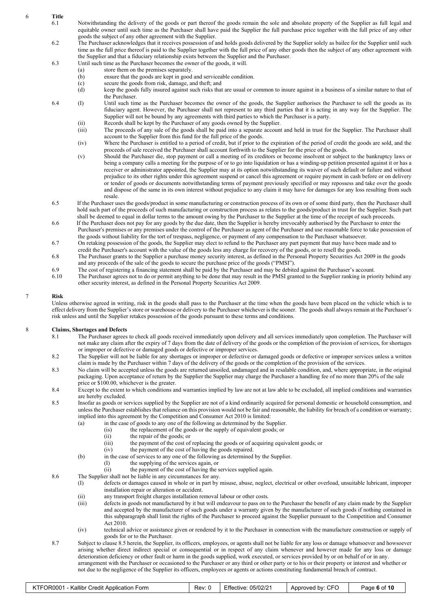- 6 **Title**
	- 6.1 Notwithstanding the delivery of the goods or part thereof the goods remain the sole and absolute property of the Supplier as full legal and equitable owner until such time as the Purchaser shall have paid the Supplier the full purchase price together with the full price of any other goods the subject of any other agreement with the Supplier.
	- 6.2 The Purchaser acknowledges that it receives possession of and holds goods delivered by the Supplier solely as bailee for the Supplier until such time as the full price thereof is paid to the Supplier together with the full price of any other goods then the subject of any other agreement with the Supplier and that a fiduciary relationship exists between the Supplier and the Purchaser.
	- 6.3 Until such time as the Purchaser becomes the owner of the goods, it will.
		- (a) store them on the premises separately.
		- (b) ensure that the goods are kept in good and serviceable condition.<br>(c) secure the goods from risk, damage, and theft; and
		- (c) secure the goods from risk, damage, and theft; and (d) keep the goods fully insured against such risks that
		- keep the goods fully insured against such risks that are usual or common to insure against in a business of a similar nature to that of the Purchaser.
	- 6.4 (I) Until such time as the Purchaser becomes the owner of the goods, the Supplier authorises the Purchaser to sell the goods as its fiduciary agent. However, the Purchaser shall not represent to any third parties that it is acting in any way for the Supplier. The Supplier will not be bound by any agreements with third parties to which the Purchaser is a party.
		- (ii) Records shall be kept by the Purchaser of any goods owned by the Supplier.
		- (iii) The proceeds of any sale of the goods shall be paid into a separate account and held in trust for the Supplier. The Purchaser shall account to the Supplier from this fund for the full price of the goods.
		- (iv) Where the Purchaser is entitled to a period of credit, but if prior to the expiration of the period of credit the goods are sold, and the proceeds of sale received the Purchaser shall account forthwith to the Supplier for the price of the goods.
		- (v) Should the Purchaser die, stop payment or call a meeting of its creditors or become insolvent or subject to the bankruptcy laws or being a company calls a meeting for the purpose of or to go into liquidation or has a winding-up petition presented against it or has a receiver or administrator appointed, the Supplier may at its option notwithstanding its waiver of such default or failure and without prejudice to its other rights under this agreement suspend or cancel this agreement or require payment in cash before or on delivery or tender of goods or documents notwithstanding terms of payment previously specified or may repossess and take over the goods and dispose of the same in its own interest without prejudice to any claim it may have for damages for any loss resulting from such resale.
	- 6.5 If the Purchaser uses the goods/product in some manufacturing or construction process of its own or of some third party, then the Purchaser shall hold such part of the proceeds of such manufacturing or construction process as relates to the goods/product in trust for the Supplier. Such part shall be deemed to equal in dollar terms to the amount owing by the Purchaser to the Supplier at the time of the receipt of such proceeds.
	- 6.6 If the Purchaser does not pay for any goods by the due date, then the Supplier is hereby irrevocably authorised by the Purchaser to enter the Purchaser's premises or any premises under the control of the Purchaser as agent of the Purchaser and use reasonable force to take possession of the goods without liability for the tort of trespass, negligence, or payment of any compensation to the Purchaser whatsoever.
	- 6.7 On retaking possession of the goods, the Supplier may elect to refund to the Purchaser any part payment that may have been made and to credit the Purchaser's account with the value of the goods less any charge for recovery of the goods, or to resell the goods.
	- 6.8 The Purchaser grants to the Supplier a purchase money security interest, as defined in the Personal Property Securities Act 2009 in the goods and any proceeds of the sale of the goods to secure the purchase price of the goods ("PMSI").
	- 6.9 The cost of registering a financing statement shall be paid by the Purchaser and may be debited against the Purchaser's account.<br>6.10 The Purchaser agrees not to do or permit anything to be done that may result in the
	- The Purchaser agrees not to do or permit anything to be done that may result in the PMSI granted to the Supplier ranking in priority behind any other security interest, as defined in the Personal Property Securities Act 2009.

### 7 **Risk**

Unless otherwise agreed in writing, risk in the goods shall pass to the Purchaser at the time when the goods have been placed on the vehicle which is to effect delivery from the Supplier's store or warehouse or delivery to the Purchaser whichever is the sooner. The goods shall always remain at the Purchaser's risk unless and until the Supplier retakes possession of the goods pursuant to these terms and conditions.

### 8 **Claims, Shortages and Defects**

- 8.1 The Purchaser agrees to check all goods received immediately upon delivery and all services immediately upon completion. The Purchaser will not make any claim after the expiry of 7 days from the date of delivery of the goods or the completion of the provision of services, for shortages or improper or defective or damaged goods or defective or improper services.
- 8.2 The Supplier will not be liable for any shortages or improper or defective or damaged goods or defective or improper services unless a written claim is made by the Purchaser within 7 days of the delivery of the goods or the completion of the provision of the services.
- 8.3 No claim will be accepted unless the goods are returned unsoiled, undamaged and in resalable condition, and, where appropriate, in the original packaging. Upon acceptance of return by the Supplier the Supplier may charge the Purchaser a handling fee of no more than 20% of the sale price or \$100.00, whichever is the greater.
- 8.4 Except to the extent to which conditions and warranties implied by law are not at law able to be excluded, all implied conditions and warranties are hereby excluded.

8.5 Insofar as goods or services supplied by the Supplier are not of a kind ordinarily acquired for personal domestic or household consumption, and unless the Purchaser establishes that reliance on this provision would not be fair and reasonable, the liability for breach of a condition or warranty; implied into this agreement by the Competition and Consumer Act 2010 is limited:

- (a) in the case of goods to any one of the following as determined by the Supplier.
	- (is) the replacement of the goods or the supply of equivalent goods; or
	- (ii) the repair of the goods; or<br>(iii) the payment of the cost of
	- the payment of the cost of replacing the goods or of acquiring equivalent goods; or
	- (iv) the payment of the cost of having the goods repaired.
- (b) in the case of services to any one of the following as determined by the Supplier.
	- (I) the supplying of the services again, or
	- (ii) the payment of the cost of having the services supplied again.

8.6 The Supplier shall not be liable in any circumstances for any.

- (I) defects or damages caused in whole or in part by misuse, abuse, neglect, electrical or other overload, unsuitable lubricant, improper installation repair or alteration or accident.
- (ii) any transport freight charges installation removal labour or other costs.
- (iii) defects in goods not manufactured by it but will endeavour to pass on to the Purchaser the benefit of any claim made by the Supplier and accepted by the manufacturer of such goods under a warranty given by the manufacturer of such goods if nothing contained in this subparagraph shall limit the rights of the Purchaser to proceed against the Supplier pursuant to the Competition and Consumer Act 2010.
- (iv) technical advice or assistance given or rendered by it to the Purchaser in connection with the manufacture construction or supply of goods for or to the Purchaser.
- 8.7 Subject to clause 8.5 herein, the Supplier, its officers, employees, or agents shall not be liable for any loss or damage whatsoever and howsoever arising whether direct indirect special or consequential or in respect of any claim whenever and however made for any loss or damage deterioration deficiency or other fault or harm in the goods supplied, work executed, or services provided by or on behalf of or in any. arrangement with the Purchaser or occasioned to the Purchaser or any third or other party or to his or their property or interest and whether or not due to the negligence of the Supplier its officers, employees or agents or actions constituting fundamental breach of contract.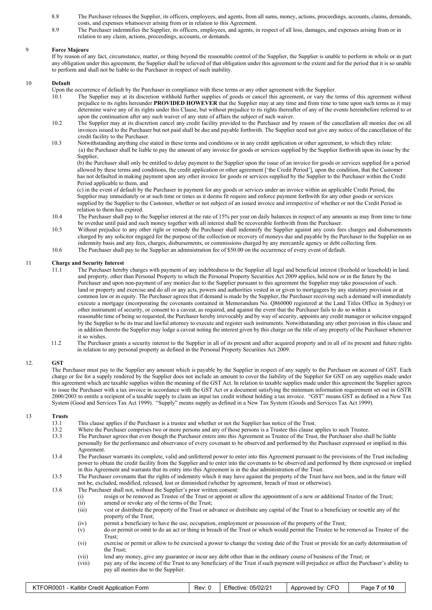- 8.8 The Purchaser releases the Supplier, its officers, employees, and agents, from all sums, money, actions, proceedings, accounts, claims, demands, costs, and expenses whatsoever arising from or in relation to this Agreement.
- 8.9 The Purchaser indemnifies the Supplier, its officers, employees, and agents, in respect of all loss, damages, and expenses arising from or in relation to any claim, actions, proceedings, accounts, or demands.

### 9 **Force Majeure**

If by reason of any fact, circumstance, matter, or thing beyond the reasonable control of the Supplier, the Supplier is unable to perform in whole or in part any obligation under this agreement, the Supplier shall be relieved of that obligation under this agreement to the extent and for the period that it is so unable to perform and shall not be liable to the Purchaser in respect of such inability.

### 10 **Default**

Upon the occurrence of default by the Purchaser in compliance with these terms or any other agreement with the Supplier.<br>10.1 The Supplier may at its discretion withhold further supplies of goods or cancel this agreement,

- 10.1 The Supplier may at its discretion withhold further supplies of goods or cancel this agreement, or vary the terms of this agreement without prejudice to its rights hereunder **PROVIDED HOWEVER** that the Supplier may at any time and from time to time upon such terms as it may determine waive any of its rights under this Clause, but without prejudice to its rights thereafter of any of the events hereinbefore referred to or upon the continuation after any such waiver of any state of affairs the subject of such waiver.
- 10.2 The Supplier may at its discretion cancel any credit facility provided to the Purchaser and by reason of the cancellation all monies due on all invoices issued to the Purchaser but not paid shall be due and payable forthwith. The Supplier need not give any notice of the cancellation of the credit facility to the Purchaser.
- 10.3 Notwithstanding anything else stated in these terms and conditions or in any credit application or other agreement, to which they relate: (a) the Purchaser shall be liable to pay the amount of any invoice for goods or services supplied by the Supplier forthwith upon its issue by the Supplier.

(b) the Purchaser shall only be entitled to delay payment to the Supplier upon the issue of an invoice for goods or services supplied for a period allowed by these terms and conditions, the credit application or other agreement ['the Credit Period'], upon the condition, that the Customer has not defaulted in making payment upon any other invoice for goods or services supplied by the Supplier to the Purchaser within the Credit Period applicable to them, and

(c) in the event of default by the Purchaser in payment for any goods or services under an invoice within an applicable Credit Period, the Supplier may immediately or at such time or times as it deems fit require and enforce payment forthwith for any other goods or services supplied by the Supplier to the Customer, whether or not subject of an issued invoice and irrespective of whether or not the Credit Period in relation to them has expired.

- 10.4 The Purchaser shall pay to the Supplier interest at the rate of 15% per year on daily balances in respect of any amounts as may from time to time be overdue until paid and such money together with all interest shall be recoverable forthwith from the Purchaser.
- 10.5 Without prejudice to any other right or remedy the Purchaser shall indemnify the Supplier against any costs fees charges and disbursements charged by any solicitor engaged for the purpose of the collection or recovery of moneys due and payable by the Purchaser to the Supplier on an indemnity basis and any fees, charges, disbursements, or commissions charged by any mercantile agency or debt collecting firm.
- 10.6 The Purchaser shall pay to the Supplier an administration fee of \$50.00 on the occurrence of every event of default.

## 11 **Charge and Security Interest**

- 11.1 The Purchaser hereby charges with payment of any indebtedness to the Supplier all legal and beneficial interest (freehold or leasehold) in land. and property, other than Personal Property to which the Personal Property Securities Act 2009 applies, held now or in the future by the Purchaser and upon non-payment of any monies due to the Supplier pursuant to this agreement the Supplier may take possession of such. land or property and exercise and do all or any acts, powers and authorities vested in or given to mortgagees by any statutory provision or at common law or in equity. The Purchaser agrees that if demand is made by the Supplier, the Purchaser receiving such a demand will immediately execute a mortgage (incorporating the covenants contained in Memorandum No. Q860000 registered at the Land Titles Office in Sydney) or other instrument of security, or consent to a caveat, as required, and against the event that the Purchaser fails to do so within a reasonable time of being so requested, the Purchaser hereby irrevocably and by way of security, appoints any credit manager or solicitor engaged by the Supplier to be its true and lawful attorney to execute and register such instruments. Notwithstanding any other provision in this clause and in addition thereto the Supplier may lodge a caveat noting the interest given by this charge on the title of any property of the Purchaser whenever it so wishes.
- 11.2 The Purchaser grants a security interest to the Supplier in all of its present and after acquired property and in all of its present and future rights in relation to any personal property as defined in the Personal Property Securities Act 2009.

### 12. **GST**

The Purchaser must pay to the Supplier any amount which is payable by the Supplier in respect of any supply to the Purchaser on account of GST. Each charge or fee for a supply rendered by the Supplier does not include an amount to cover the liability of the Supplier for GST on any supplies made under this agreement which are taxable supplies within the meaning of the GST Act. In relation to taxable supplies made under this agreement the Supplier agrees to issue the Purchaser with a tax invoice in accordance with the GST Act or a document satisfying the minimum information requirement set out in GSTR 2000/2003 to entitle a recipient of a taxable supply to claim an input tax credit without holding a tax invoice. "GST" means GST as defined in a New Tax System (Good and Services Tax Act 1999). "Supply" means supply as defined in a New Tax System (Goods and Services Tax Act 1999).

### 13 **Trusts**

- This clause applies if the Purchaser is a trustee and whether or not the Supplier has notice of the Trust.
- 13.2 Where the Purchaser comprises two or more persons and any of those persons is a Trustee this clause applies to such Trustee.
- 13.3 The Purchaser agrees that even though the Purchaser enters into this Agreement as Trustee of the Trust, the Purchaser also shall be liable personally for the performance and observance of every covenant to be observed and performed by the Purchaser expressed or implied in this Agreement.
- 13.4 The Purchaser warrants its complete, valid and unfettered power to enter into this Agreement pursuant to the provisions of the Trust including power to obtain the credit facility from the Supplier and to enter into the covenants to be observed and performed by them expressed or implied in this Agreement and warrants that its entry into this Agreement is in the due administration of the Trust.
- 13.5 The Purchaser covenants that the rights of indemnity which it may have against the property of the Trust have not been, and in the future will not be, excluded, modified, released, lost or diminished (whether by agreement, breach of trust or otherwise).
- 13.6 The Purchaser shall not, without the Supplier's prior written consent:
	- (i) resign or be removed as Trustee of the Trust or appoint or allow the appointment of a new or additional Trustee of the Trust;
	- (ii) amend or revoke any of the terms of the Trust;<br>(iii) vest or distribute the property of the Trust or a
	- vest or distribute the property of the Trust or advance or distribute any capital of the Trust to a beneficiary or resettle any of the property of the Trust;
	- (iv) permit a beneficiary to have the use, occupation, employment or possession of the property of the Trust;
	- (v) do or permit or omit to do an act or thing in breach of the Trust or which would permit the Trustee to be removed as Trustee of the Trust;
	- (vi) exercise or permit or allow to be exercised a power to change the vesting date of the Trust or provide for an early determination of the Trust;
	- (vii) lend any money, give any guarantee or incur any debt other than in the ordinary course of business of the Trust; or
	- (viii) pay any of the income of the Trust to any beneficiary of the Trust if such payment will prejudice or affect the Purchaser's ability to pay all monies due to the Supplier.

| √ Kallibr<br>KTFOR0001<br>∵ Credit Application Form | Rev . | 05/02/21<br>Effective: | Approved by:<br>ັບເ | of 10<br>Page |
|-----------------------------------------------------|-------|------------------------|---------------------|---------------|
|-----------------------------------------------------|-------|------------------------|---------------------|---------------|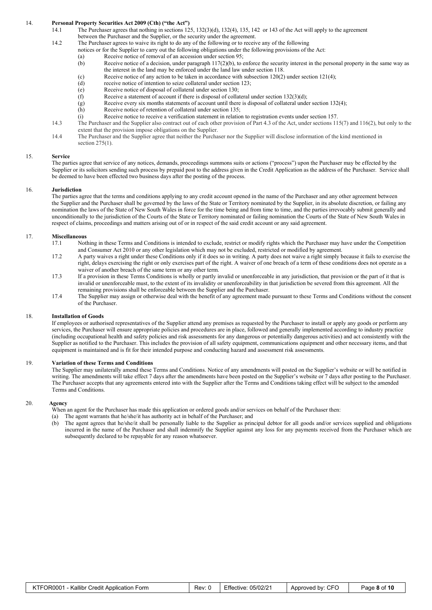### 14. **Personal Property Securities Act 2009 (Cth) ("the Act")**

- 14.1 The Purchaser agrees that nothing in sections 125, 132(3)(d), 132(4), 135, 142 or 143 of the Act will apply to the agreement between the Purchaser and the Supplier, or the security under the agreement.
- 14.2 The Purchaser agrees to waive its right to do any of the following or to receive any of the following
	- notices or for the Supplier to carry out the following obligations under the following provisions of the Act:
	- (a) Receive notice of removal of an accession under section 95;<br>(b) Receive notice of a decision, under paragraph  $117(2)(b)$ , to a
		- Receive notice of a decision, under paragraph  $117(2)(b)$ , to enforce the security interest in the personal property in the same way as the interest in the land may be enforced under the land law under section 118.
	- (c) Receive notice of any action to be taken in accordance with subsection  $120(2)$  under section  $121(4)$ ;<br>(d) receive notice of intention to seize collateral under section 123;
	- receive notice of intention to seize collateral under section 123;
	- (e) Receive notice of disposal of collateral under section 130;<br>(f) Receive a statement of account if there is disposal of colla
	- Receive a statement of account if there is disposal of collateral under section  $132(3)(d)$ ;
	- (g) Receive every six months statements of account until there is disposal of collateral under section 132(4);<br>(b) Receive notice of retention of collateral under section 135:
	- Receive notice of retention of collateral under section 135;
	- (i) Receive notice to receive a verification statement in relation to registration events under section 157.
- 14.3 The Purchaser and the Supplier also contract out of each other provision of Part 4.3 of the Act, under sections 115(7) and 116(2), but only to the extent that the provision impose obligations on the Supplier.
- 14.4 The Purchaser and the Supplier agree that neither the Purchaser nor the Supplier will disclose information of the kind mentioned in section 275(1).

### 15. **Service**

The parties agree that service of any notices, demands, proceedings summons suits or actions ("process") upon the Purchaser may be effected by the Supplier or its solicitors sending such process by prepaid post to the address given in the Credit Application as the address of the Purchaser. Service shall be deemed to have been effected two business days after the posting of the process.

### 16. **Jurisdiction**

The parties agree that the terms and conditions applying to any credit account opened in the name of the Purchaser and any other agreement between the Supplier and the Purchaser shall be governed by the laws of the State or Territory nominated by the Supplier, in its absolute discretion, or failing any nomination the laws of the State of New South Wales in force for the time being and from time to time, and the parties irrevocably submit generally and unconditionally to the jurisdiction of the Courts of the State or Territory nominated or failing nomination the Courts of the State of New South Wales in respect of claims, proceedings and matters arising out of or in respect of the said credit account or any said agreement.

### 17. **Miscellaneous**

- 17.1 Nothing in these Terms and Conditions is intended to exclude, restrict or modify rights which the Purchaser may have under the Competition and Consumer Act 2010 or any other legislation which may not be excluded, restricted or modified by agreement.
- 17.2 A party waives a right under these Conditions only if it does so in writing. A party does not waive a right simply because it fails to exercise the right, delays exercising the right or only exercises part of the right. A waiver of one breach of a term of these conditions does not operate as a waiver of another breach of the same term or any other term.
- 17.3 If a provision in these Terms Conditions is wholly or partly invalid or unenforceable in any jurisdiction, that provision or the part of it that is invalid or unenforceable must, to the extent of its invalidity or unenforceability in that jurisdiction be severed from this agreement. All the remaining provisions shall be enforceable between the Supplier and the Purchaser.
- 17.4 The Supplier may assign or otherwise deal with the benefit of any agreement made pursuant to these Terms and Conditions without the consent of the Purchaser.

### 18. **Installation of Goods**

If employees or authorised representatives of the Supplier attend any premises as requested by the Purchaser to install or apply any goods or perform any services, the Purchaser will ensure appropriate policies and procedures are in place, followed and generally implemented according to industry practice (including occupational health and safety policies and risk assessments for any dangerous or potentially dangerous activities) and act consistently with the Supplier as notified to the Purchaser. This includes the provision of all safety equipment, communications equipment and other necessary items, and that equipment is maintained and is fit for their intended purpose and conducting hazard and assessment risk assessments.

### 19. **Variation of these Terms and Conditions**

The Supplier may unilaterally amend these Terms and Conditions. Notice of any amendments will posted on the Supplier's website or will be notified in writing. The amendments will take effect 7 days after the amendments have been posted on the Supplier's website or 7 days after posting to the Purchaser. The Purchaser accepts that any agreements entered into with the Supplier after the Terms and Conditions taking effect will be subject to the amended Terms and Conditions.

### 20. **Agency**

When an agent for the Purchaser has made this application or ordered goods and/or services on behalf of the Purchaser then:

- (a) The agent warrants that he/she/it has authority act in behalf of the Purchaser; and
- (b) The agent agrees that he/she/it shall be personally liable to the Supplier as principal debtor for all goods and/or services supplied and obligations incurred in the name of the Purchaser and shall indemnify the Supplier against any loss for any payments received from the Purchaser which are subsequently declared to be repayable for any reason whatsoever.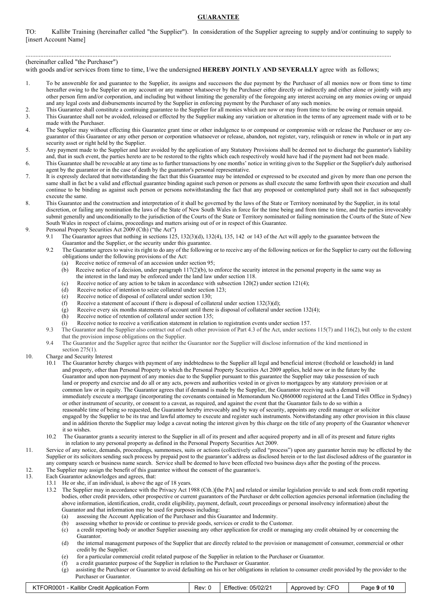### **GUARANTEE**

TO: Kallibr Training (hereinafter called "the Supplier"). In consideration of the Supplier agreeing to supply and/or continuing to supply to [insert Account Name]

(hereinafter called "the Purchaser")

................................................................................................................................................................................................................................

with goods and/or services from time to time, I/we the undersigned **HEREBY JOINTLY AND SEVERALLY** agree with as follows;

- 1. To be answerable for and guarantee to the Supplier, its assigns and successors the due payment by the Purchaser of all monies now or from time to time hereafter owing to the Supplier on any account or any manner whatsoever by the Purchaser either directly or indirectly and either alone or jointly with any other person firm and/or corporation, and including but without limiting the generality of the foregoing any interest accruing on any monies owing or unpaid and any legal costs and disbursements incurred by the Supplier in enforcing payment by the Purchaser of any such monies.
- 2. This Guarantee shall constitute a continuing guarantee to the Supplier for all monies which are now or may from time to time be owing or remain unpaid.<br>3. This Guarantee shall not be avoided, released or effected by the This Guarantee shall not be avoided, released or effected by the Supplier making any variation or alteration in the terms of any agreement made with or to be made with the Purchaser.
- 4. The Supplier may without effecting this Guarantee grant time or other indulgence to or compound or compromise with or release the Purchaser or any coguarantor of this Guarantee or any other person or corporation whatsoever or release, abandon, not register, vary, relinquish or renew in whole or in part any security asset or right held by the Supplier.
- 5. Any payment made to the Supplier and later avoided by the application of any Statutory Provisions shall be deemed not to discharge the guarantor's liability and, that in such event, the parties hereto are to be restored to the rights which each respectively would have had if the payment had not been made.
- 6. This Guarantee shall be revocable at any time as to further transactions by one months' notice in writing given to the Supplier or the Supplier's duly authorised agent by the guarantor or in the case of death by the guarantor's personal representative.
- 7. It is expressly declared that notwithstanding the fact that this Guarantee may be intended or expressed to be executed and given by more than one person the same shall in fact be a valid and effectual guarantee binding against such person or persons as shall execute the same forthwith upon their execution and shall continue to be binding as against such person or persons notwithstanding the fact that any proposed or contemplated party shall not in fact subsequently execute the same.
- 8. This Guarantee and the construction and interpretation of it shall be governed by the laws of the State or Territory nominated by the Supplier, in its total discretion, or failing any nomination the laws of the State of New South Wales in force for the time being and from time to time, and the parties irrevocably submit generally and unconditionally to the jurisdiction of the Courts of the State or Territory nominated or failing nomination the Courts of the State of New South Wales in respect of claims, proceedings and matters arising out of or in respect of this Guarantee.
- 9. Personal Property Securities Act 2009 (Cth) ("the Act")
- 9.1 The Guarantor agrees that nothing in sections 125, 132(3)(d), 132(4), 135, 142 or 143 of the Act will apply to the guarantee between the Guarantor and the Supplier, or the security under this guarantee.
	- 9.2 The Guarantor agrees to waive its right to do any of the following or to receive any of the following notices or for the Supplier to carry out the following obligations under the following provisions of the Act:
		- (a) Receive notice of removal of an accession under section 95;
		- (b) Receive notice of a decision, under paragraph 117(2)(b), to enforce the security interest in the personal property in the same way as the interest in the land may be enforced under the land law under section 118.
		- (c) Receive notice of any action to be taken in accordance with subsection  $120(2)$  under section  $121(4)$ ;
		- (d) Receive notice of intention to seize collateral under section 123;
		- (e) Receive notice of disposal of collateral under section 130;
		- (f) Receive a statement of account if there is disposal of collateral under section  $132(3)(d)$ ;
		- (g) Receive every six months statements of account until there is disposal of collateral under section 132(4);
		- (h) Receive notice of retention of collateral under section 135;
		- (i) Receive notice to receive a verification statement in relation to registration events under section 157.
	- 9.3 The Guarantor and the Supplier also contract out of each other provision of Part 4.3 of the Act, under sections 115(7) and 116(2), but only to the extent that the provision impose obligations on the Supplier.
	- 9.4 The Guarantor and the Supplier agree that neither the Guarantor nor the Supplier will disclose information of the kind mentioned in section 275(1).
- 10. Charge and Security Interest
	- 10.1 The Guarantor hereby charges with payment of any indebtedness to the Supplier all legal and beneficial interest (freehold or leasehold) in land and property, other than Personal Property to which the Personal Property Securities Act 2009 applies, held now or in the future by the Guarantor and upon non-payment of any monies due to the Supplier pursuant to this guarantee the Supplier may take possession of such land or property and exercise and do all or any acts, powers and authorities vested in or given to mortgagees by any statutory provision or at common law or in equity. The Guarantor agrees that if demand is made by the Supplier, the Guarantor receiving such a demand will immediately execute a mortgage (incorporating the covenants contained in Memorandum No.Q860000 registered at the Land Titles Office in Sydney) or other instrument of security, or consent to a caveat, as required, and against the event that the Guarantor fails to do so within a reasonable time of being so requested, the Guarantor hereby irrevocably and by way of security, appoints any credit manager or solicitor engaged by the Supplier to be its true and lawful attorney to execute and register such instruments. Notwithstanding any other provision in this clause and in addition thereto the Supplier may lodge a caveat noting the interest given by this charge on the title of any property of the Guarantor whenever it so wishes.
	- 10.2 The Guarantor grants a security interest to the Supplier in all of its present and after acquired property and in all of its present and future rights in relation to any personal property as defined in the Personal Property Securities Act 2009.
- 11. Service of any notice, demands, proceedings, summonses, suits or actions (collectively called "process") upon any guarantor herein may be effected by the Supplier or its solicitors sending such process by prepaid post to the guarantor's address as disclosed herein or to the last disclosed address of the guarantor in any company search or business name search. Service shall be deemed to have been effected two business days after the posting of the process.
- 12. The Supplier may assign the benefit of this guarantee without the consent of the guarantor/s.
- 13. Each Guarantor acknowledges and agrees, that:
	- 13.1 He or she, if an individual, is above the age of 18 years.
	- 13.2 The Supplier may in accordance with the Privacy Act 1988 (Cth.)[the PA] and related or similar legislation provide to and seek from credit reporting bodies, other credit providers, other prospective or current guarantors of the Purchaser or debt collection agencies personal information (including the above information, identification, credit, credit eligibility, payment, default, court proceedings or personal insolvency information) about the Guarantor and that information may be used for purposes including:
		- (a) assessing the Account Application of the Purchaser and this Guarantee and Indemnity.
		- (b) assessing whether to provide or continue to provide goods, services or credit to the Customer.
		- (c) a credit reporting body or another Supplier assessing any other application for credit or managing any credit obtained by or concerning the Guarantor.
		- (d) the internal management purposes of the Supplier that are directly related to the provision or management of consumer, commercial or other credit by the Supplier.
		- (e) for a particular commercial credit related purpose of the Supplier in relation to the Purchaser or Guarantor.
		- (f) a credit guarantee purpose of the Supplier in relation to the Purchaser or Guarantor.
		- (g) assisting the Purchaser or Guarantor to avoid defaulting on his or her obligations in relation to consumer credit provided by the provider to the Purchaser or Guarantor.

|  | KTFOR0001 - Kallibr Credit Application Form | Rev: 0 | Effective: 05/02/21 | Approved by: CFO | Page 9 of 10 |
|--|---------------------------------------------|--------|---------------------|------------------|--------------|
|--|---------------------------------------------|--------|---------------------|------------------|--------------|